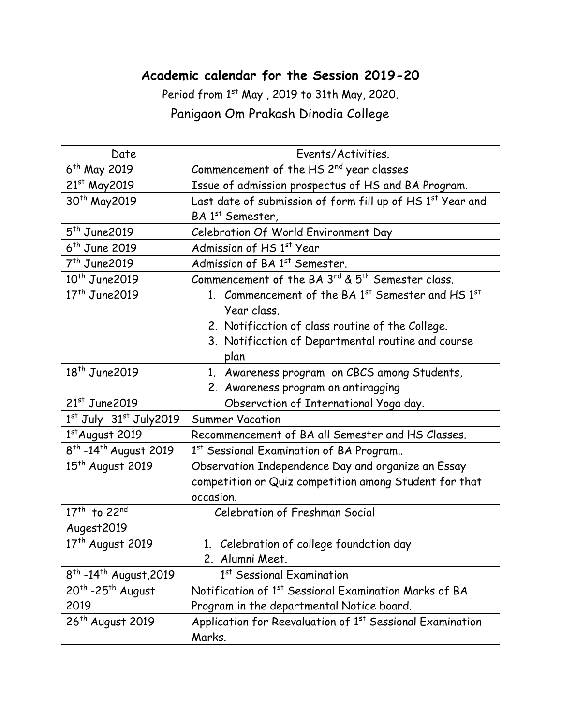## **Academic calendar for the Session 2019-20**

Period from 1st May, 2019 to 31th May, 2020. Panigaon Om Prakash Dinodia College

| Date                                           | Events/Activities.                                                        |
|------------------------------------------------|---------------------------------------------------------------------------|
| 6 <sup>th</sup> May 2019                       | Commencement of the HS 2 <sup>nd</sup> year classes                       |
| 21st May2019                                   | Issue of admission prospectus of HS and BA Program.                       |
| 30 <sup>th</sup> May2019                       | Last date of submission of form fill up of HS 1st Year and                |
|                                                | BA 1 <sup>st</sup> Semester,                                              |
| $5th$ June2019                                 | Celebration Of World Environment Day                                      |
| $6th$ June 2019                                | Admission of HS 1st Year                                                  |
| $7th$ June 2019                                | Admission of BA 1st Semester.                                             |
| $10^{th}$ June 2019                            | Commencement of the BA 3rd & 5 <sup>th</sup> Semester class.              |
| $17th$ June 2019                               | 1. Commencement of the BA 1 <sup>st</sup> Semester and HS 1 <sup>st</sup> |
|                                                | Year class.                                                               |
|                                                | 2. Notification of class routine of the College.                          |
|                                                | 3. Notification of Departmental routine and course                        |
|                                                | plan                                                                      |
| $18th$ June 2019                               | 1. Awareness program on CBCS among Students,                              |
|                                                | 2. Awareness program on antiragging                                       |
| $21st$ June 2019                               | Observation of International Yoga day.                                    |
| $1st$ July -31st July2019                      | <b>Summer Vacation</b>                                                    |
| $1st$ August 2019                              | Recommencement of BA all Semester and HS Classes.                         |
| 8 <sup>th</sup> -14 <sup>th</sup> August 2019  | 1st Sessional Examination of BA Program                                   |
| 15 <sup>th</sup> August 2019                   | Observation Independence Day and organize an Essay                        |
|                                                | competition or Quiz competition among Student for that                    |
|                                                | occasion.                                                                 |
| 17 <sup>th</sup> to 22 <sup>nd</sup>           | <b>Celebration of Freshman Social</b>                                     |
| Augest2019                                     |                                                                           |
| 17 <sup>th</sup> August 2019                   | 1. Celebration of college foundation day                                  |
|                                                | 2. Alumni Meet.                                                           |
| 8 <sup>th</sup> -14 <sup>th</sup> August, 2019 | 1st Sessional Examination                                                 |
| $20th$ -25 <sup>th</sup> August                | Notification of 1st Sessional Examination Marks of BA                     |
| 2019                                           | Program in the departmental Notice board.                                 |
| 26 <sup>th</sup> August 2019                   | Application for Reevaluation of 1 <sup>st</sup> Sessional Examination     |
|                                                | Marks.                                                                    |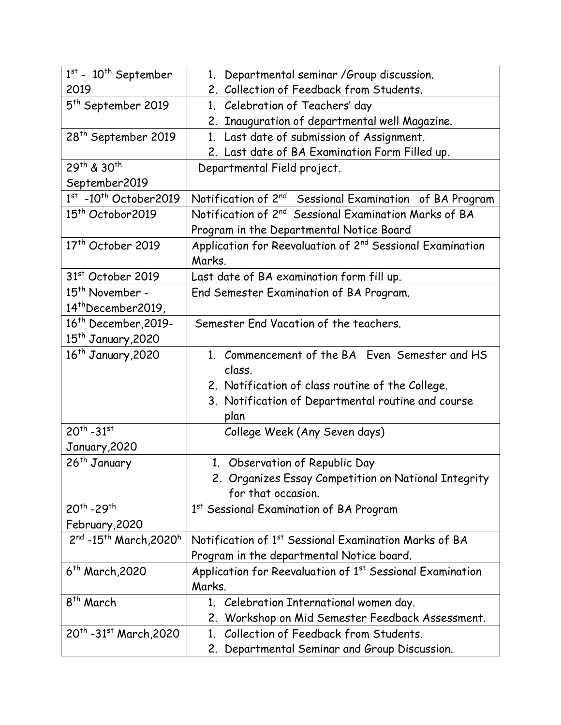| $\overline{1^{st}}$ - $10^{th}$ September           | 1. Departmental seminar / Group discussion.                           |
|-----------------------------------------------------|-----------------------------------------------------------------------|
| 2019                                                | 2. Collection of Feedback from Students.                              |
| 5 <sup>th</sup> September 2019                      | 1. Celebration of Teachers' day                                       |
|                                                     | 2. Inauguration of departmental well Magazine.                        |
| 28 <sup>th</sup> September 2019                     | 1. Last date of submission of Assignment.                             |
|                                                     | 2. Last date of BA Examination Form Filled up.                        |
| 29th & 30th                                         | Departmental Field project.                                           |
| September2019                                       |                                                                       |
| $1st$ -10 <sup>th</sup> October2019                 | Notification of 2 <sup>nd</sup> Sessional Examination of BA Program   |
| 15 <sup>th</sup> Octobor2019                        | Notification of 2 <sup>nd</sup> Sessional Examination Marks of BA     |
|                                                     | Program in the Departmental Notice Board                              |
| 17 <sup>th</sup> October 2019                       | Application for Reevaluation of 2 <sup>nd</sup> Sessional Examination |
|                                                     | Marks.                                                                |
| 31 <sup>st</sup> October 2019                       | Last date of BA examination form fill up.                             |
| 15 <sup>th</sup> November -                         | End Semester Examination of BA Program.                               |
| 14 <sup>th</sup> December2019,                      |                                                                       |
| $16th$ December, 2019-                              | Semester End Vacation of the teachers.                                |
| 15 <sup>th</sup> January,2020                       |                                                                       |
| 16 <sup>th</sup> January, 2020                      | 1. Commencement of the BA Even Semester and HS                        |
|                                                     | class.                                                                |
|                                                     | 2. Notification of class routine of the College.                      |
|                                                     | 3. Notification of Departmental routine and course                    |
|                                                     | plan                                                                  |
| $20^{th} - 31^{st}$                                 | College Week (Any Seven days)                                         |
| January, 2020                                       |                                                                       |
| 26 <sup>th</sup> January                            | 1. Observation of Republic Day                                        |
|                                                     | 2. Organizes Essay Competition on National Integrity                  |
|                                                     | for that occasion.                                                    |
| $20^{th}$ -29 <sup>th</sup>                         | 1st Sessional Examination of BA Program                               |
| February, 2020                                      |                                                                       |
| $2^{nd}$ -15 <sup>th</sup> March, 2020 <sup>h</sup> | Notification of 1 <sup>st</sup> Sessional Examination Marks of BA     |
|                                                     | Program in the departmental Notice board.                             |
| $6^{th}$ March, 2020                                | Application for Reevaluation of 1 <sup>st</sup> Sessional Examination |
|                                                     | Marks.                                                                |
| 8 <sup>th</sup> March                               | 1. Celebration International women day.                               |
|                                                     | 2. Workshop on Mid Semester Feedback Assessment.                      |
| 20 <sup>th</sup> -31st March, 2020                  | Collection of Feedback from Students.<br>$1_{\cdot}$                  |
|                                                     | 2. Departmental Seminar and Group Discussion.                         |